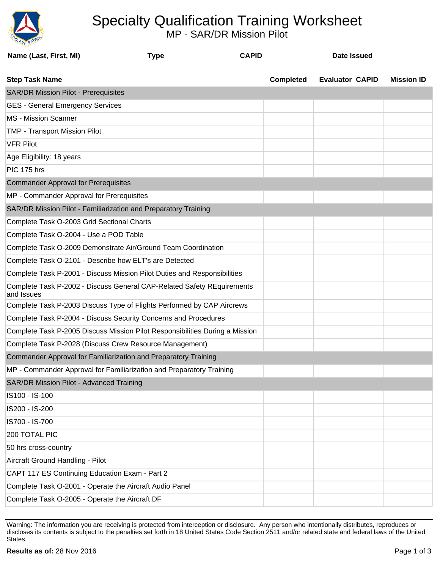

## Specialty Qualification Training Worksheet

MP - SAR/DR Mission Pilot

| Name (Last, First, MI)                                          | <b>Type</b>                                                                  | <b>CAPID</b>     | Date Issued            |                   |
|-----------------------------------------------------------------|------------------------------------------------------------------------------|------------------|------------------------|-------------------|
| <b>Step Task Name</b>                                           |                                                                              | <b>Completed</b> | <b>Evaluator CAPID</b> | <b>Mission ID</b> |
| <b>SAR/DR Mission Pilot - Prerequisites</b>                     |                                                                              |                  |                        |                   |
| <b>GES - General Emergency Services</b>                         |                                                                              |                  |                        |                   |
| <b>MS</b> - Mission Scanner                                     |                                                                              |                  |                        |                   |
| <b>TMP - Transport Mission Pilot</b>                            |                                                                              |                  |                        |                   |
| <b>VFR Pilot</b>                                                |                                                                              |                  |                        |                   |
| Age Eligibility: 18 years                                       |                                                                              |                  |                        |                   |
| PIC 175 hrs                                                     |                                                                              |                  |                        |                   |
| <b>Commander Approval for Prerequisites</b>                     |                                                                              |                  |                        |                   |
| MP - Commander Approval for Prerequisites                       |                                                                              |                  |                        |                   |
| SAR/DR Mission Pilot - Familiarization and Preparatory Training |                                                                              |                  |                        |                   |
| Complete Task O-2003 Grid Sectional Charts                      |                                                                              |                  |                        |                   |
| Complete Task O-2004 - Use a POD Table                          |                                                                              |                  |                        |                   |
|                                                                 | Complete Task O-2009 Demonstrate Air/Ground Team Coordination                |                  |                        |                   |
| Complete Task O-2101 - Describe how ELT's are Detected          |                                                                              |                  |                        |                   |
|                                                                 | Complete Task P-2001 - Discuss Mission Pilot Duties and Responsibilities     |                  |                        |                   |
| and Issues                                                      | Complete Task P-2002 - Discuss General CAP-Related Safety REquirements       |                  |                        |                   |
|                                                                 | Complete Task P-2003 Discuss Type of Flights Performed by CAP Aircrews       |                  |                        |                   |
|                                                                 | Complete Task P-2004 - Discuss Security Concerns and Procedures              |                  |                        |                   |
|                                                                 | Complete Task P-2005 Discuss Mission Pilot Responsibilities During a Mission |                  |                        |                   |
| Complete Task P-2028 (Discuss Crew Resource Management)         |                                                                              |                  |                        |                   |
| Commander Approval for Familiarization and Preparatory Training |                                                                              |                  |                        |                   |
|                                                                 | MP - Commander Approval for Familiarization and Preparatory Training         |                  |                        |                   |
| <b>SAR/DR Mission Pilot - Advanced Training</b>                 |                                                                              |                  |                        |                   |
| IS100 - IS-100                                                  |                                                                              |                  |                        |                   |
| IS200 - IS-200                                                  |                                                                              |                  |                        |                   |
| IS700 - IS-700                                                  |                                                                              |                  |                        |                   |
| 200 TOTAL PIC                                                   |                                                                              |                  |                        |                   |
| 50 hrs cross-country                                            |                                                                              |                  |                        |                   |
| Aircraft Ground Handling - Pilot                                |                                                                              |                  |                        |                   |
| CAPT 117 ES Continuing Education Exam - Part 2                  |                                                                              |                  |                        |                   |
| Complete Task O-2001 - Operate the Aircraft Audio Panel         |                                                                              |                  |                        |                   |
| Complete Task O-2005 - Operate the Aircraft DF                  |                                                                              |                  |                        |                   |

Warning: The information you are receiving is protected from interception or disclosure. Any person who intentionally distributes, reproduces or discloses its contents is subject to the penalties set forth in 18 United States Code Section 2511 and/or related state and federal laws of the United States.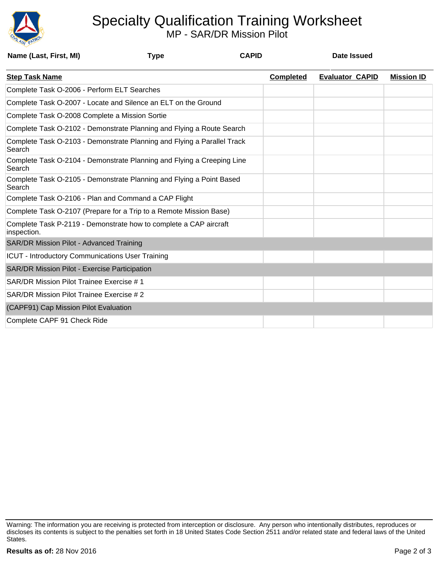

## Specialty Qualification Training Worksheet

MP - SAR/DR Mission Pilot

| Name (Last, First, MI)                        | <b>Type</b>                                                             | <b>CAPID</b> |                  | Date Issued            |                   |
|-----------------------------------------------|-------------------------------------------------------------------------|--------------|------------------|------------------------|-------------------|
| <b>Step Task Name</b>                         |                                                                         |              | <b>Completed</b> | <b>Evaluator CAPID</b> | <b>Mission ID</b> |
| Complete Task O-2006 - Perform ELT Searches   |                                                                         |              |                  |                        |                   |
|                                               | Complete Task O-2007 - Locate and Silence an ELT on the Ground          |              |                  |                        |                   |
|                                               | Complete Task O-2008 Complete a Mission Sortie                          |              |                  |                        |                   |
|                                               | Complete Task O-2102 - Demonstrate Planning and Flying a Route Search   |              |                  |                        |                   |
| Search                                        | Complete Task O-2103 - Demonstrate Planning and Flying a Parallel Track |              |                  |                        |                   |
| Search                                        | Complete Task O-2104 - Demonstrate Planning and Flying a Creeping Line  |              |                  |                        |                   |
| Search                                        | Complete Task O-2105 - Demonstrate Planning and Flying a Point Based    |              |                  |                        |                   |
|                                               | Complete Task O-2106 - Plan and Command a CAP Flight                    |              |                  |                        |                   |
|                                               | Complete Task O-2107 (Prepare for a Trip to a Remote Mission Base)      |              |                  |                        |                   |
| inspection.                                   | Complete Task P-2119 - Demonstrate how to complete a CAP aircraft       |              |                  |                        |                   |
| SAR/DR Mission Pilot - Advanced Training      |                                                                         |              |                  |                        |                   |
|                                               | <b>ICUT - Introductory Communications User Training</b>                 |              |                  |                        |                   |
| SAR/DR Mission Pilot - Exercise Participation |                                                                         |              |                  |                        |                   |
| SAR/DR Mission Pilot Trainee Exercise #1      |                                                                         |              |                  |                        |                   |
| SAR/DR Mission Pilot Trainee Exercise # 2     |                                                                         |              |                  |                        |                   |
| (CAPF91) Cap Mission Pilot Evaluation         |                                                                         |              |                  |                        |                   |
| Complete CAPF 91 Check Ride                   |                                                                         |              |                  |                        |                   |

Warning: The information you are receiving is protected from interception or disclosure. Any person who intentionally distributes, reproduces or discloses its contents is subject to the penalties set forth in 18 United States Code Section 2511 and/or related state and federal laws of the United States.